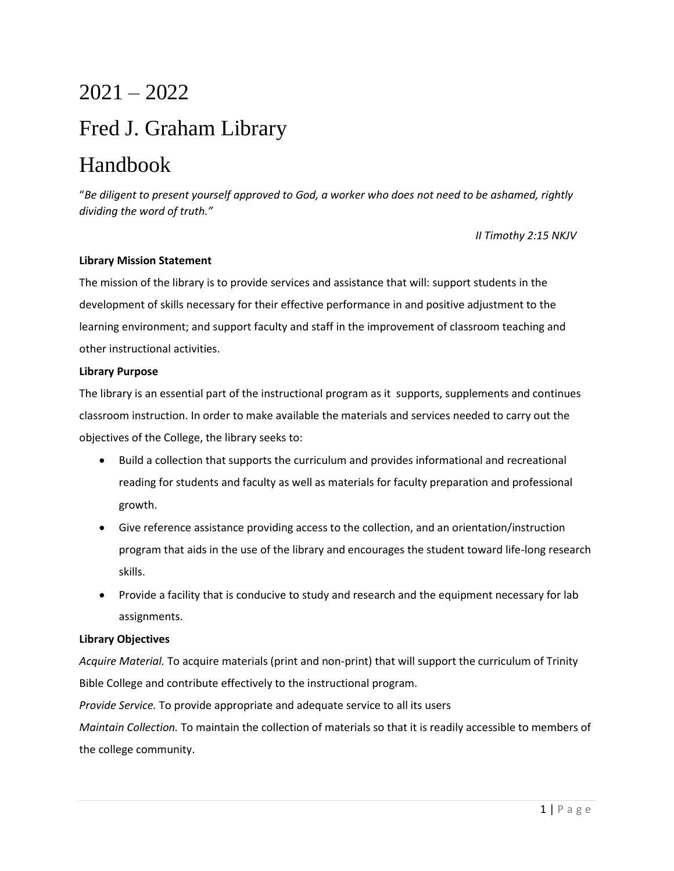# 2021 – 2022

# Fred J. Graham Library

# Handbook

"*Be diligent to present yourself approved to God, a worker who does not need to be ashamed, rightly dividing the word of truth."* 

*II Timothy 2:15 NKJV*

# **Library Mission Statement**

The mission of the library is to provide services and assistance that will: support students in the development of skills necessary for their effective performance in and positive adjustment to the learning environment; and support faculty and staff in the improvement of classroom teaching and other instructional activities.

# **Library Purpose**

The library is an essential part of the instructional program as it supports, supplements and continues classroom instruction. In order to make available the materials and services needed to carry out the objectives of the College, the library seeks to:

- Build a collection that supports the curriculum and provides informational and recreational reading for students and faculty as well as materials for faculty preparation and professional growth.
- Give reference assistance providing access to the collection, and an orientation/instruction program that aids in the use of the library and encourages the student toward life-long research skills.
- Provide a facility that is conducive to study and research and the equipment necessary for lab assignments.

# **Library Objectives**

*Acquire Material.* To acquire materials (print and non-print) that will support the curriculum of Trinity Bible College and contribute effectively to the instructional program.

*Provide Service.* To provide appropriate and adequate service to all its users

*Maintain Collection.* To maintain the collection of materials so that it is readily accessible to members of the college community.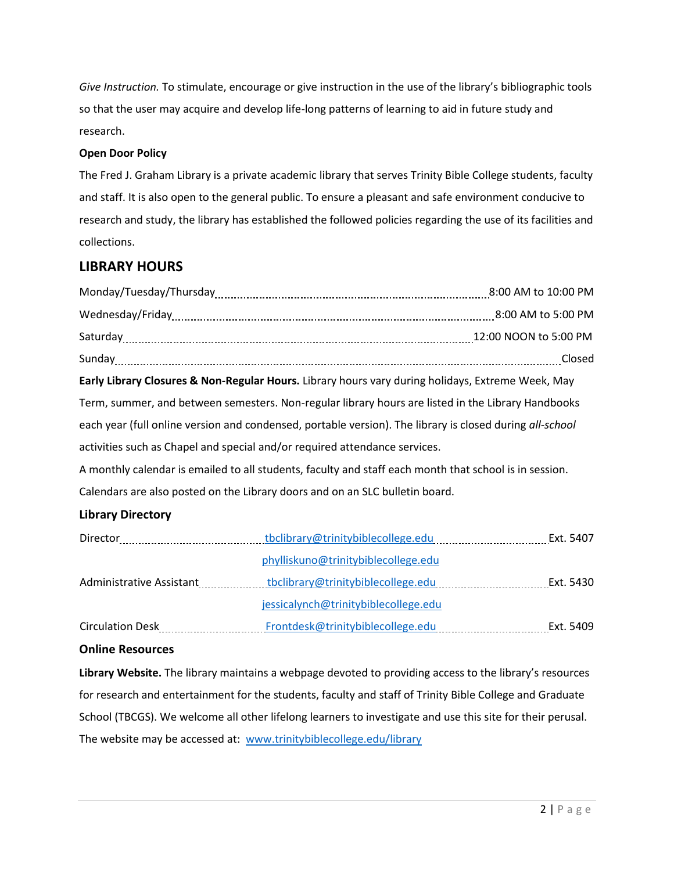*Give Instruction.* To stimulate, encourage or give instruction in the use of the library's bibliographic tools so that the user may acquire and develop life-long patterns of learning to aid in future study and research.

# **Open Door Policy**

The Fred J. Graham Library is a private academic library that serves Trinity Bible College students, faculty and staff. It is also open to the general public. To ensure a pleasant and safe environment conducive to research and study, the library has established the followed policies regarding the use of its facilities and collections.

# **LIBRARY HOURS**

| Early Library Closures & Non-Regular Hours. Library hours vary during holidays, Extreme Week, May        |                                                |
|----------------------------------------------------------------------------------------------------------|------------------------------------------------|
| Term, summer, and between semesters. Non-regular library hours are listed in the Library Handbooks       |                                                |
| each year (full online version and condensed, portable version). The library is closed during all-school |                                                |
| activities such as Chapel and special and/or required attendance services.                               |                                                |
| A monthly calendar is emailed to all students, faculty and staff each month that school is in session.   |                                                |
| Calendars are also posted on the Library doors and on an SLC bulletin board.                             |                                                |
| <b>Library Directory</b>                                                                                 |                                                |
|                                                                                                          |                                                |
|                                                                                                          | phylliskuno@trinitybiblecollege.edu            |
| Administrative Assistant                                                                                 |                                                |
|                                                                                                          | jessicalynch@trinitybiblecollege.edu           |
|                                                                                                          | Frontdesk@trinitybiblecollege.edu<br>Ext. 5409 |
|                                                                                                          |                                                |

# **Online Resources**

**Library Website.** The library maintains a webpage devoted to providing access to the library's resources for research and entertainment for the students, faculty and staff of Trinity Bible College and Graduate School (TBCGS). We welcome all other lifelong learners to investigate and use this site for their perusal. The website may be accessed at: [www.trinitybiblecollege.edu/library](http://www.trinitybiblecollege.edu/library)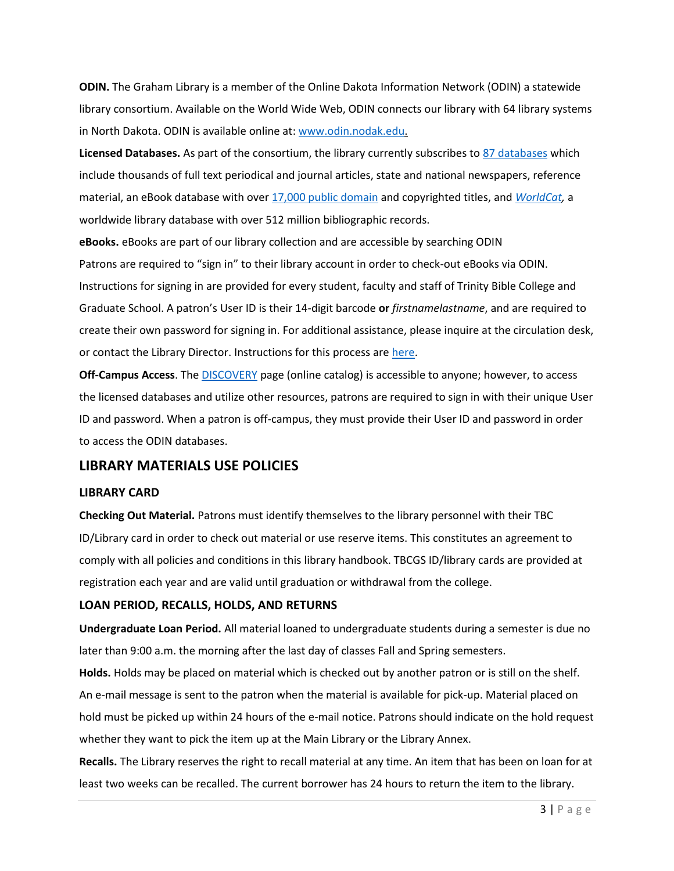**ODIN.** The Graham Library is a member of the Online Dakota Information Network (ODIN) a statewide library consortium. Available on the World Wide Web, ODIN connects our library with 64 library systems in North Dakota. ODIN is available online at: [www.odin.nodak.edu.](http://www.odin.nodak.edu/)

**Licensed Databases.** As part of the consortium, the library currently subscribes t[o 87 databases](https://www.odin.nodak.edu/databases) which include thousands of full text periodical and journal articles, state and national newspapers, reference material, an eBook database with over [17,000 public domain](https://web.p.ebscohost.com/ehost/search/basic?sid=522aebe3-56ff-44ec-927d-1caf3eddb72e@redis&vid=0&tid=2003EB) and copyrighted titles, and *[WorldCat,](https://firstsearch-oclc-org.odinproxy08.odin.nodak.edu/WebZ/FSPrefs?entityjsdetect=:javascript=true:screensize=large:sessionid=fsap05pxm1-1680-kvjr0lku-npk0v6:entitypagenum=1:0)* a worldwide library database with over 512 million bibliographic records.

**eBooks.** eBooks are part of our library collection and are accessible by searching ODIN Patrons are required to "sign in" to their library account in order to check-out eBooks via ODIN. Instructions for signing in are provided for every student, faculty and staff of Trinity Bible College and Graduate School. A patron's User ID is their 14-digit barcode **or** *firstnamelastname*, and are required to create their own password for signing in. For additional assistance, please inquire at the circulation desk, or contact the Library Director. Instructions for this process are [here.](file:///C:/Users/phylliskuno/Desktop/F21.Connect.To.DISCOVERY.pdf)

**Off-Campus Access**. The [DISCOVERY](https://tbcgs.primo.exlibrisgroup.com/discovery/search?query=any,contains,&tab=Everything&sortby=rank&vid=01ODIN_TBI:tbi&lang=en&offset=0) page (online catalog) is accessible to anyone; however, to access the licensed databases and utilize other resources, patrons are required to sign in with their unique User ID and password. When a patron is off-campus, they must provide their User ID and password in order to access the ODIN databases.

# **LIBRARY MATERIALS USE POLICIES**

# **LIBRARY CARD**

**Checking Out Material.** Patrons must identify themselves to the library personnel with their TBC ID/Library card in order to check out material or use reserve items. This constitutes an agreement to comply with all policies and conditions in this library handbook. TBCGS ID/library cards are provided at registration each year and are valid until graduation or withdrawal from the college.

# **LOAN PERIOD, RECALLS, HOLDS, AND RETURNS**

**Undergraduate Loan Period.** All material loaned to undergraduate students during a semester is due no later than 9:00 a.m. the morning after the last day of classes Fall and Spring semesters.

**Holds.** Holds may be placed on material which is checked out by another patron or is still on the shelf. An e-mail message is sent to the patron when the material is available for pick-up. Material placed on hold must be picked up within 24 hours of the e-mail notice. Patrons should indicate on the hold request whether they want to pick the item up at the Main Library or the Library Annex.

**Recalls.** The Library reserves the right to recall material at any time. An item that has been on loan for at least two weeks can be recalled. The current borrower has 24 hours to return the item to the library.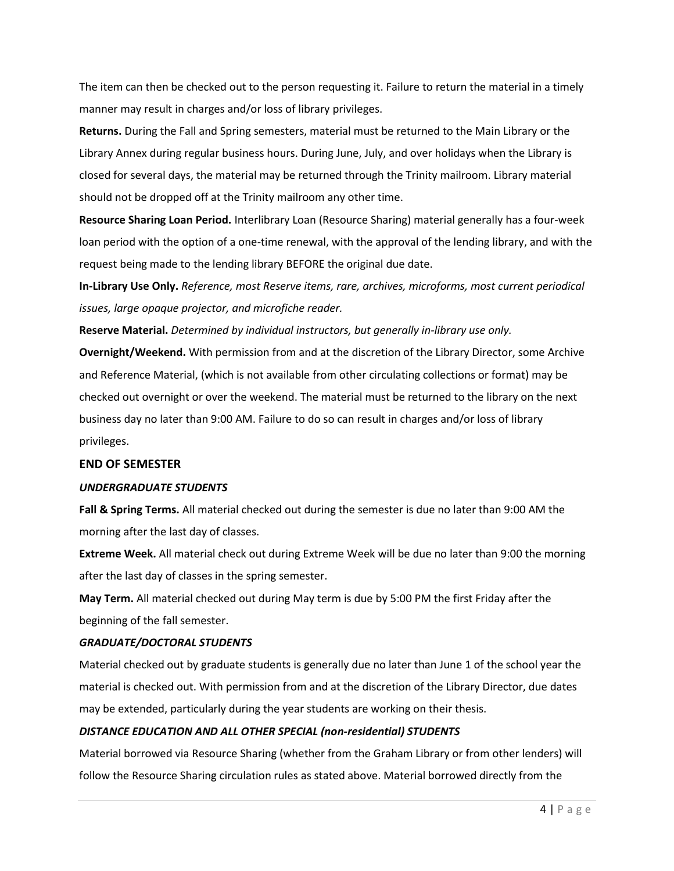The item can then be checked out to the person requesting it. Failure to return the material in a timely manner may result in charges and/or loss of library privileges.

**Returns.** During the Fall and Spring semesters, material must be returned to the Main Library or the Library Annex during regular business hours. During June, July, and over holidays when the Library is closed for several days, the material may be returned through the Trinity mailroom. Library material should not be dropped off at the Trinity mailroom any other time.

**Resource Sharing Loan Period.** Interlibrary Loan (Resource Sharing) material generally has a four-week loan period with the option of a one-time renewal, with the approval of the lending library, and with the request being made to the lending library BEFORE the original due date.

**In-Library Use Only.** *Reference, most Reserve items, rare, archives, microforms, most current periodical issues, large opaque projector, and microfiche reader.*

**Reserve Material.** *Determined by individual instructors, but generally in-library use only.*

**Overnight/Weekend.** With permission from and at the discretion of the Library Director, some Archive and Reference Material, (which is not available from other circulating collections or format) may be checked out overnight or over the weekend. The material must be returned to the library on the next business day no later than 9:00 AM. Failure to do so can result in charges and/or loss of library privileges.

#### **END OF SEMESTER**

#### *UNDERGRADUATE STUDENTS*

**Fall & Spring Terms.** All material checked out during the semester is due no later than 9:00 AM the morning after the last day of classes.

**Extreme Week.** All material check out during Extreme Week will be due no later than 9:00 the morning after the last day of classes in the spring semester.

**May Term.** All material checked out during May term is due by 5:00 PM the first Friday after the beginning of the fall semester.

#### *GRADUATE/DOCTORAL STUDENTS*

Material checked out by graduate students is generally due no later than June 1 of the school year the material is checked out. With permission from and at the discretion of the Library Director, due dates may be extended, particularly during the year students are working on their thesis.

# *DISTANCE EDUCATION AND ALL OTHER SPECIAL (non-residential) STUDENTS*

Material borrowed via Resource Sharing (whether from the Graham Library or from other lenders) will follow the Resource Sharing circulation rules as stated above. Material borrowed directly from the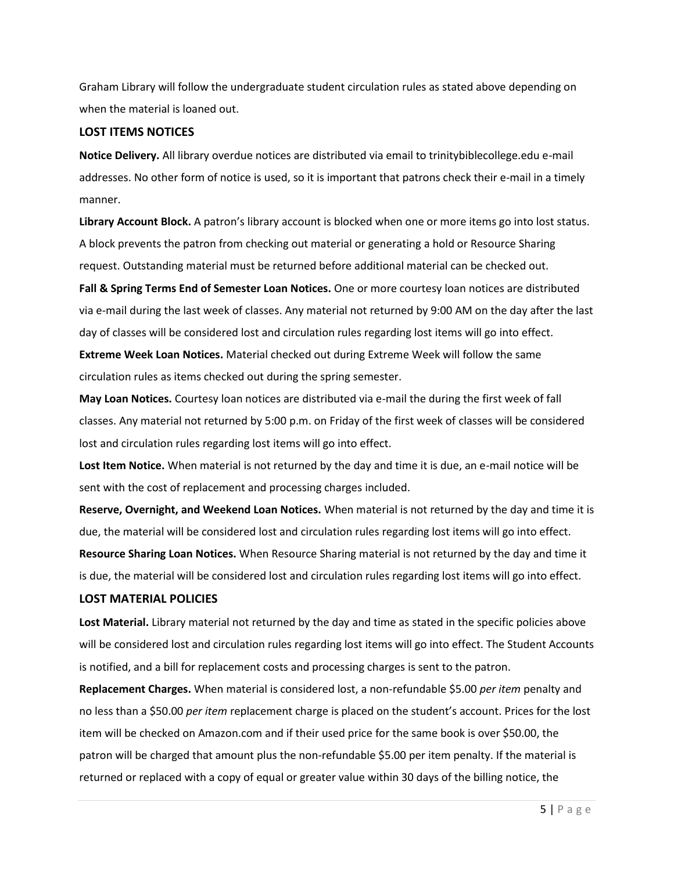Graham Library will follow the undergraduate student circulation rules as stated above depending on when the material is loaned out.

#### **LOST ITEMS NOTICES**

**Notice Delivery.** All library overdue notices are distributed via email to trinitybiblecollege.edu e-mail addresses. No other form of notice is used, so it is important that patrons check their e-mail in a timely manner.

**Library Account Block.** A patron's library account is blocked when one or more items go into lost status. A block prevents the patron from checking out material or generating a hold or Resource Sharing request. Outstanding material must be returned before additional material can be checked out.

**Fall & Spring Terms End of Semester Loan Notices.** One or more courtesy loan notices are distributed via e-mail during the last week of classes. Any material not returned by 9:00 AM on the day after the last day of classes will be considered lost and circulation rules regarding lost items will go into effect. **Extreme Week Loan Notices.** Material checked out during Extreme Week will follow the same circulation rules as items checked out during the spring semester.

**May Loan Notices.** Courtesy loan notices are distributed via e-mail the during the first week of fall classes. Any material not returned by 5:00 p.m. on Friday of the first week of classes will be considered lost and circulation rules regarding lost items will go into effect.

**Lost Item Notice.** When material is not returned by the day and time it is due, an e-mail notice will be sent with the cost of replacement and processing charges included.

**Reserve, Overnight, and Weekend Loan Notices.** When material is not returned by the day and time it is due, the material will be considered lost and circulation rules regarding lost items will go into effect. **Resource Sharing Loan Notices.** When Resource Sharing material is not returned by the day and time it is due, the material will be considered lost and circulation rules regarding lost items will go into effect.

# **LOST MATERIAL POLICIES**

**Lost Material.** Library material not returned by the day and time as stated in the specific policies above will be considered lost and circulation rules regarding lost items will go into effect. The Student Accounts is notified, and a bill for replacement costs and processing charges is sent to the patron.

**Replacement Charges.** When material is considered lost, a non-refundable \$5.00 *per item* penalty and no less than a \$50.00 *per item* replacement charge is placed on the student's account. Prices for the lost item will be checked on Amazon.com and if their used price for the same book is over \$50.00, the patron will be charged that amount plus the non-refundable \$5.00 per item penalty. If the material is returned or replaced with a copy of equal or greater value within 30 days of the billing notice, the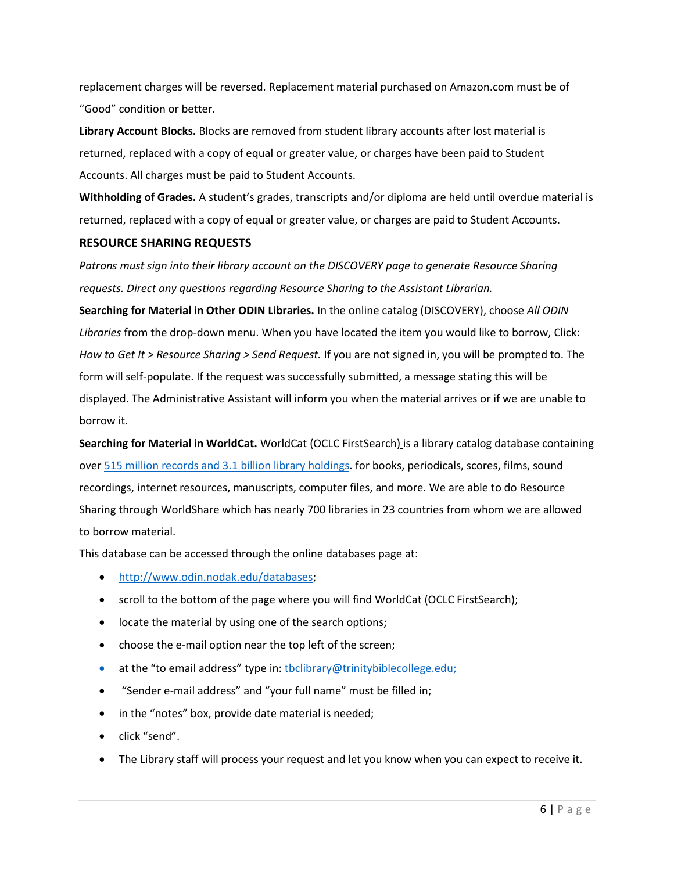replacement charges will be reversed. Replacement material purchased on Amazon.com must be of "Good" condition or better.

**Library Account Blocks.** Blocks are removed from student library accounts after lost material is returned, replaced with a copy of equal or greater value, or charges have been paid to Student Accounts. All charges must be paid to Student Accounts.

**Withholding of Grades.** A student's grades, transcripts and/or diploma are held until overdue material is returned, replaced with a copy of equal or greater value, or charges are paid to Student Accounts.

# **RESOURCE SHARING REQUESTS**

*Patrons must sign into their library account on the DISCOVERY page to generate Resource Sharing requests. Direct any questions regarding Resource Sharing to the Assistant Librarian.*

**Searching for Material in Other ODIN Libraries.** In the online catalog (DISCOVERY), choose *All ODIN Libraries* from the drop-down menu. When you have located the item you would like to borrow, Click: *How to Get It > Resource Sharing > Send Request.* If you are not signed in, you will be prompted to. The form will self-populate. If the request was successfully submitted, a message stating this will be displayed. The Administrative Assistant will inform you when the material arrives or if we are unable to borrow it.

**Searching for Material in WorldCat.** WorldCat (OCLC FirstSearch) is a library catalog database containing ove[r 515 million records and 3.1](https://www.oclc.org/en/annual-report/2021/home.html?utm_source=SFMC&utm_medium=email&utm_content=annual-report-2021-arc-members&utm_campaign=oclc-annual-report&utm_term=Americas%20Member%20Updates) billion library holdings. for books, periodicals, scores, films, sound recordings, internet resources, manuscripts, computer files, and more. We are able to do Resource Sharing through WorldShare which has nearly 700 libraries in 23 countries from whom we are allowed to borrow material.

This database can be accessed through the online databases page at:

- [http://www.odin.nodak.edu/databases;](http://www.odin.nodak.edu/databases)
- scroll to the bottom of the page where you will find WorldCat (OCLC FirstSearch);
- locate the material by using one of the search options;
- choose the e-mail option near the top left of the screen;
- at the "to email address" type in: the unitary@trinitybible college.edu;
- "Sender e-mail address" and "your full name" must be filled in;
- in the "notes" box, provide date material is needed;
- click "send".
- The Library staff will process your request and let you know when you can expect to receive it.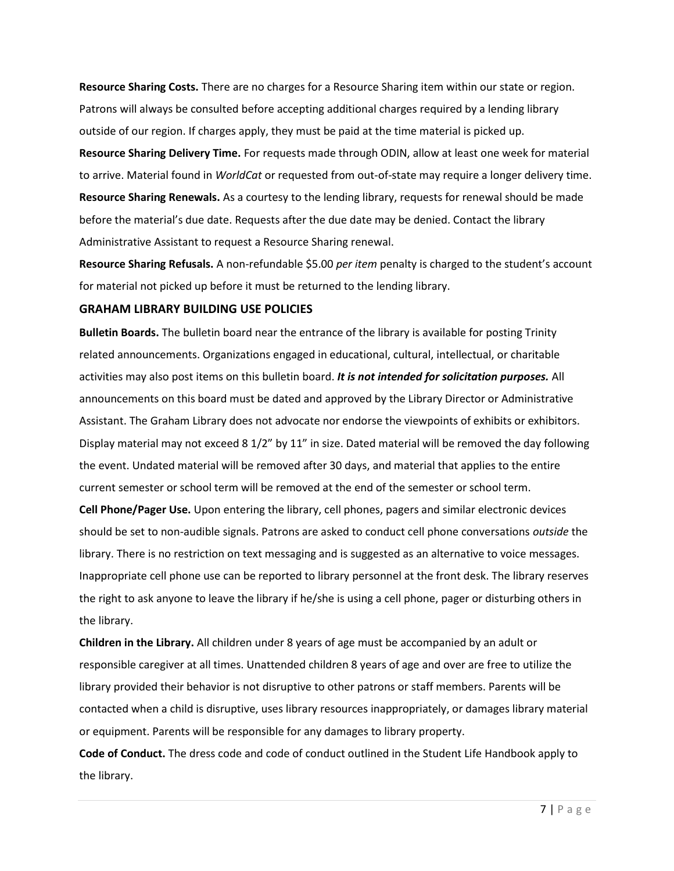**Resource Sharing Costs.** There are no charges for a Resource Sharing item within our state or region. Patrons will always be consulted before accepting additional charges required by a lending library outside of our region. If charges apply, they must be paid at the time material is picked up.

**Resource Sharing Delivery Time.** For requests made through ODIN, allow at least one week for material to arrive. Material found in *WorldCat* or requested from out-of-state may require a longer delivery time. **Resource Sharing Renewals.** As a courtesy to the lending library, requests for renewal should be made before the material's due date. Requests after the due date may be denied. Contact the library Administrative Assistant to request a Resource Sharing renewal.

**Resource Sharing Refusals.** A non-refundable \$5.00 *per item* penalty is charged to the student's account for material not picked up before it must be returned to the lending library.

#### **GRAHAM LIBRARY BUILDING USE POLICIES**

**Bulletin Boards.** The bulletin board near the entrance of the library is available for posting Trinity related announcements. Organizations engaged in educational, cultural, intellectual, or charitable activities may also post items on this bulletin board. *It is not intended for solicitation purposes.* All announcements on this board must be dated and approved by the Library Director or Administrative Assistant. The Graham Library does not advocate nor endorse the viewpoints of exhibits or exhibitors. Display material may not exceed 8 1/2" by 11" in size. Dated material will be removed the day following the event. Undated material will be removed after 30 days, and material that applies to the entire current semester or school term will be removed at the end of the semester or school term.

**Cell Phone/Pager Use.** Upon entering the library, cell phones, pagers and similar electronic devices should be set to non-audible signals. Patrons are asked to conduct cell phone conversations *outside* the library. There is no restriction on text messaging and is suggested as an alternative to voice messages. Inappropriate cell phone use can be reported to library personnel at the front desk. The library reserves the right to ask anyone to leave the library if he/she is using a cell phone, pager or disturbing others in the library.

**Children in the Library.** All children under 8 years of age must be accompanied by an adult or responsible caregiver at all times. Unattended children 8 years of age and over are free to utilize the library provided their behavior is not disruptive to other patrons or staff members. Parents will be contacted when a child is disruptive, uses library resources inappropriately, or damages library material or equipment. Parents will be responsible for any damages to library property.

**Code of Conduct.** The dress code and code of conduct outlined in the Student Life Handbook apply to the library.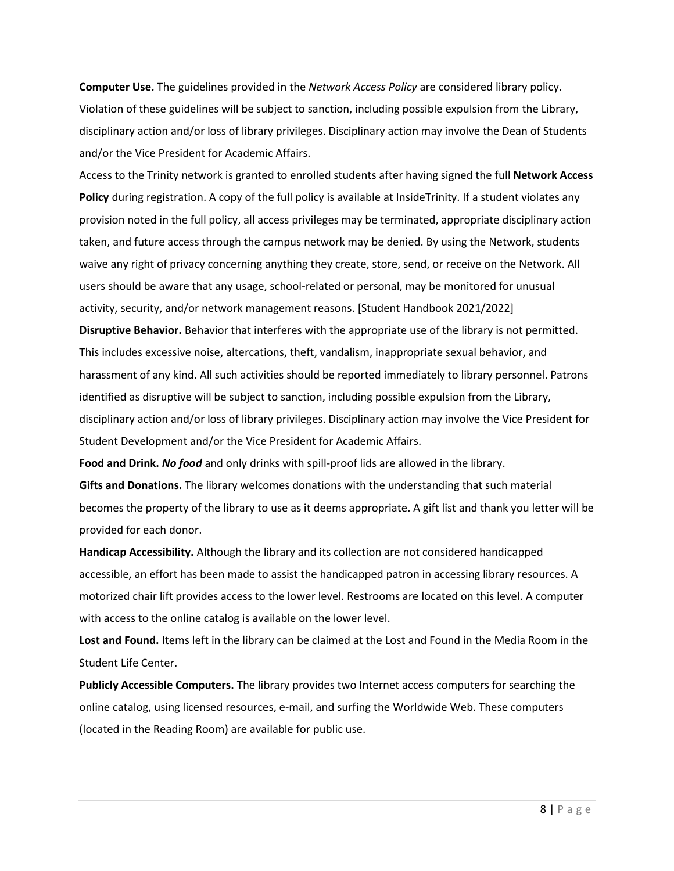**Computer Use.** The guidelines provided in the *Network Access Policy* are considered library policy. Violation of these guidelines will be subject to sanction, including possible expulsion from the Library, disciplinary action and/or loss of library privileges. Disciplinary action may involve the Dean of Students and/or the Vice President for Academic Affairs.

Access to the Trinity network is granted to enrolled students after having signed the full **Network Access Policy** during registration. A copy of the full policy is available at InsideTrinity. If a student violates any provision noted in the full policy, all access privileges may be terminated, appropriate disciplinary action taken, and future access through the campus network may be denied. By using the Network, students waive any right of privacy concerning anything they create, store, send, or receive on the Network. All users should be aware that any usage, school-related or personal, may be monitored for unusual activity, security, and/or network management reasons. [Student Handbook 2021/2022]

**Disruptive Behavior.** Behavior that interferes with the appropriate use of the library is not permitted. This includes excessive noise, altercations, theft, vandalism, inappropriate sexual behavior, and harassment of any kind. All such activities should be reported immediately to library personnel. Patrons identified as disruptive will be subject to sanction, including possible expulsion from the Library, disciplinary action and/or loss of library privileges. Disciplinary action may involve the Vice President for Student Development and/or the Vice President for Academic Affairs.

**Food and Drink.** *No food* and only drinks with spill-proof lids are allowed in the library.

**Gifts and Donations.** The library welcomes donations with the understanding that such material becomes the property of the library to use as it deems appropriate. A gift list and thank you letter will be provided for each donor.

**Handicap Accessibility.** Although the library and its collection are not considered handicapped accessible, an effort has been made to assist the handicapped patron in accessing library resources. A motorized chair lift provides access to the lower level. Restrooms are located on this level. A computer with access to the online catalog is available on the lower level.

**Lost and Found.** Items left in the library can be claimed at the Lost and Found in the Media Room in the Student Life Center.

**Publicly Accessible Computers.** The library provides two Internet access computers for searching the online catalog, using licensed resources, e-mail, and surfing the Worldwide Web. These computers (located in the Reading Room) are available for public use.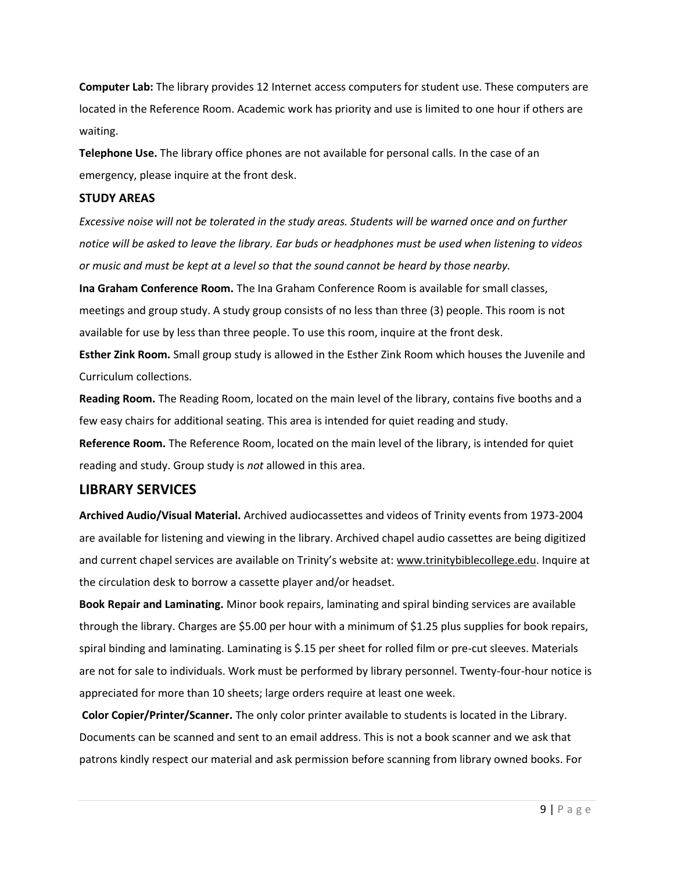**Computer Lab:** The library provides 12 Internet access computers for student use. These computers are located in the Reference Room. Academic work has priority and use is limited to one hour if others are waiting.

**Telephone Use.** The library office phones are not available for personal calls. In the case of an emergency, please inquire at the front desk.

#### **STUDY AREAS**

*Excessive noise will not be tolerated in the study areas. Students will be warned once and on further notice will be asked to leave the library. Ear buds or headphones must be used when listening to videos or music and must be kept at a level so that the sound cannot be heard by those nearby.*

**Ina Graham Conference Room.** The Ina Graham Conference Room is available for small classes, meetings and group study. A study group consists of no less than three (3) people. This room is not available for use by less than three people. To use this room, inquire at the front desk.

**Esther Zink Room.** Small group study is allowed in the Esther Zink Room which houses the Juvenile and Curriculum collections.

**Reading Room.** The Reading Room, located on the main level of the library, contains five booths and a few easy chairs for additional seating. This area is intended for quiet reading and study.

**Reference Room.** The Reference Room, located on the main level of the library, is intended for quiet reading and study. Group study is *not* allowed in this area.

# **LIBRARY SERVICES**

**Archived Audio/Visual Material.** Archived audiocassettes and videos of Trinity events from 1973-2004 are available for listening and viewing in the library. Archived chapel audio cassettes are being digitized and current chapel services are available on Trinity's website at: www.trinitybiblecollege.edu. Inquire at the circulation desk to borrow a cassette player and/or headset.

**Book Repair and Laminating.** Minor book repairs, laminating and spiral binding services are available through the library. Charges are \$5.00 per hour with a minimum of \$1.25 plus supplies for book repairs, spiral binding and laminating. Laminating is \$.15 per sheet for rolled film or pre-cut sleeves. Materials are not for sale to individuals. Work must be performed by library personnel. Twenty-four-hour notice is appreciated for more than 10 sheets; large orders require at least one week.

**Color Copier/Printer/Scanner.** The only color printer available to students is located in the Library. Documents can be scanned and sent to an email address. This is not a book scanner and we ask that patrons kindly respect our material and ask permission before scanning from library owned books. For